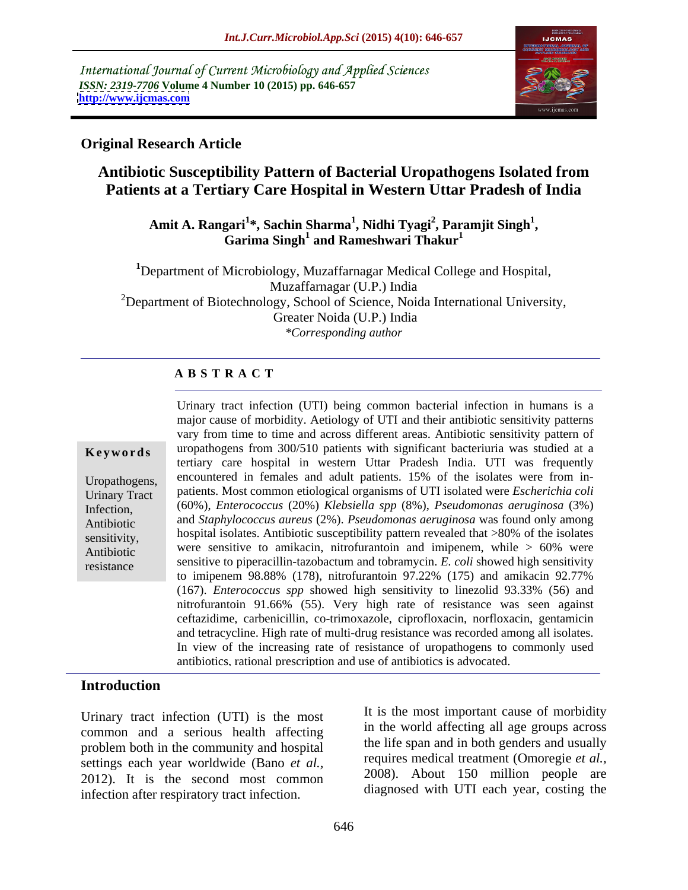International Journal of Current Microbiology and Applied Sciences *ISSN: 2319-7706* **Volume 4 Number 10 (2015) pp. 646-657 <http://www.ijcmas.com>**



## **Original Research Article**

# **Antibiotic Susceptibility Pattern of Bacterial Uropathogens Isolated from Patients at a Tertiary Care Hospital in Western Uttar Pradesh of India**

### Amit A. Rangari<sup>1</sup>\*, Sachin Sharma<sup>1</sup>, Nidhi Tyagi<sup>2</sup>, Paramjit Singh<sup>1</sup>,<br>Garima Singh<sup>1</sup> and Rameshwari Thakur<sup>1</sup> **, Paramjit Singh<sup>1</sup> and Rameshwari Thakur<sup>1</sup>**

**<sup>1</sup>**Department of Microbiology, Muzaffarnagar Medical College and Hospital, Muzaffarnagar (U.P.) India <sup>2</sup>Department of Biotechnology, School of Science, Noida International University, Greater Noida (U.P.) India *\*Corresponding author*

### **A B S T R A C T**

resistance

Urinary tract infection (UTI) being common bacterial infection in humans is a major cause of morbidity. Aetiology of UTI and their antibiotic sensitivity patterns vary from time to time and across different areas. Antibiotic sensitivity pattern of **Keywords** uropathogens from 300/510 patients with significant bacteriuria was studied at a tertiary care hospital in western Uttar Pradesh India. UTI was frequently Uropathogens, encountered in females and adult patients.  $15\%$  of the isolates were from in-Urinary Tract patients. Most common etiological organisms of UTI isolated were *Escherichia coli*<br>
Urinary Tract (2000) (60%), *Enterococcus* (20%) *Klebsiella spp* (8%), *Pseudomonas aeruginosa* (3%) Infection, and *Staphylococcus aureus* (2%). *Pseudomonas aeruginosa* was found only among Antibiotic sensitivity, hospital isolates. Antibiotic susceptibility pattern revealed that >80% of the isolates Antibiotic were sensitive to amikacin, nitrofurantoin and imipenem, while > 60% were sensitive to piperacillin-tazobactum and tobramycin. *E. coli* showed high sensitivity to imipenem 98.88% (178), nitrofurantoin 97.22% (175) and amikacin 92.77% (167). *Enterococcus spp* showed high sensitivity to linezolid 93.33% (56) and nitrofurantoin 91.66% (55). Very high rate of resistance was seen against ceftazidime, carbenicillin, co-trimoxazole, ciprofloxacin, norfloxacin, gentamicin and tetracycline. High rate of multi-drug resistance was recorded among all isolates. In view of the increasing rate of resistance of uropathogens to commonly used antibiotics, rational prescription and use of antibiotics is advocated.

### **Introduction**

Urinary tract infection (UTI) is the most common and a serious health affecting problem both in the community and hospital settings each year worldwide (Bano *et al.,* 2012). It is the second most common infection after respiratory tract infection.

It is the most important cause of morbidity in the world affecting all age groups across the life span and in both genders and usually requires medical treatment (Omoregie *et al.,* 2008). About 150 million people are diagnosed with UTI each year, costing the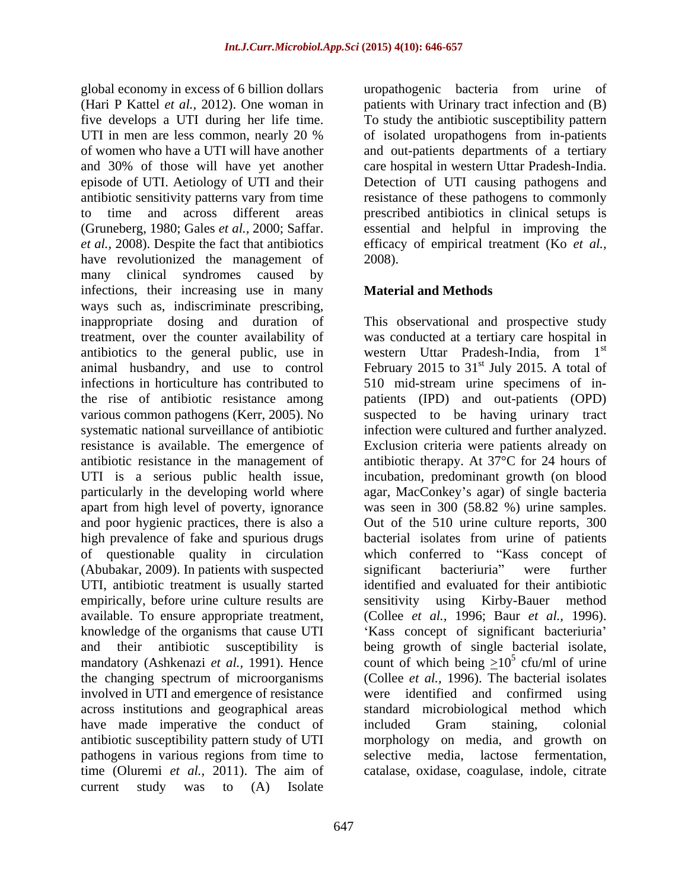(Hari P Kattel *et al.,* 2012). One woman in patients with Urinary tract infection and (B) five develops a UTI during her life time. UTI in men are less common, nearly 20 % of isolated uropathogens from in-patients of women who have a UTI will have another and out-patients departments of a tertiary and 30% of those will have yet another care hospital in western Uttar Pradesh-India. episode of UTI. Aetiology of UTI and their Detection of UTI causing pathogens and antibiotic sensitivity patterns vary from time resistance of these pathogens to commonly to time and across different areas prescribed antibiotics in clinical setups is (Gruneberg, 1980; Gales *et al.,* 2000; Saffar. essential and helpful in improving the *et al.,* 2008). Despite the fact that antibiotics efficacy of empirical treatment (Ko *et al.,* have revolutionized the management of 2008). many clinical syndromes caused by infections, their increasing use in many ways such as, indiscriminate prescribing, inappropriate dosing and duration of This observational and prospective study treatment, over the counter availability of was conducted at a tertiary care hospital in antibiotics to the general public, use in western Uttar Pradesh-India, from 1<sup>st</sup> animal husbandry, and use to control February 2015 to  $31<sup>st</sup>$  July 2015. A total of infections in horticulture has contributed to 510 mid-stream urine specimens of in the rise of antibiotic resistance among patients (IPD) and out-patients (OPD) various common pathogens (Kerr, 2005). No suspected to be having urinary tract systematic national surveillance of antibiotic resistance is available. The emergence of Exclusion criteria were patients already on antibiotic resistance in the management of antibiotic therapy. At 37°C for 24 hours of UTI is a serious public health issue, incubation, predominant growth (on blood particularly in the developing world where agar, MacConkey's agar) of single bacteria apart from high level of poverty, ignorance was seen in 300 (58.82 %) urine samples. and poor hygienic practices, there is also a Out of the 510 urine culture reports, 300 high prevalence of fake and spurious drugs bacterial isolates from urine of patients of questionable quality in circulation (Abubakar, 2009). In patients with suspected UTI, antibiotic treatment is usually started identified and evaluated for their antibiotic empirically, before urine culture results are sensitivity using Kirby-Bauer method available. To ensure appropriate treatment, (Collee et al., 1996; Baur et al., 1996). knowledge of the organisms that cause UTI  $\cdot$  'Kass concept of significant bacteriuria' and their antibiotic susceptibility is being growth of single bacterial isolate, mandatory (Ashkenazi *et al.*, 1991). Hence count of which being  $\geq 10^5$  cfu/ml of urine the changing spectrum of microorganisms (Collee *et al.,* 1996). The bacterial isolates involved in UTI and emergence of resistance were identified and confirmed using across institutions and geographical areas standard microbiological method which have made imperative the conduct of included Gram staining, colonial antibiotic susceptibility pattern study of UTI pathogens in various regions from time to time (Oluremi *et al.,* 2011). The aim of catalase, oxidase, coagulase, indole, citratecurrent study was to (A) Isolate

647

global economy in excess of 6 billion dollars uropathogenic bacteria from urine of To study the antibiotic susceptibility pattern of isolated uropathogens from in-patients 2008).

# **Material and Methods**

western Uttar Pradesh-India, from 1<sup>st</sup> st st July 2015. A total of infection were cultured and further analyzed. which conferred to "Kass concept of significant bacteriuria" were further sensitivity using Kirby-Bauer method (Collee *et al.,* 1996; Baur *et al.,* 1996).<br>'Kass concept of significant bacteriuria' cfu/ml of urine were identified and confirmed included Gram staining, colonial morphology on media, and growth on selective media, lactose fermentation,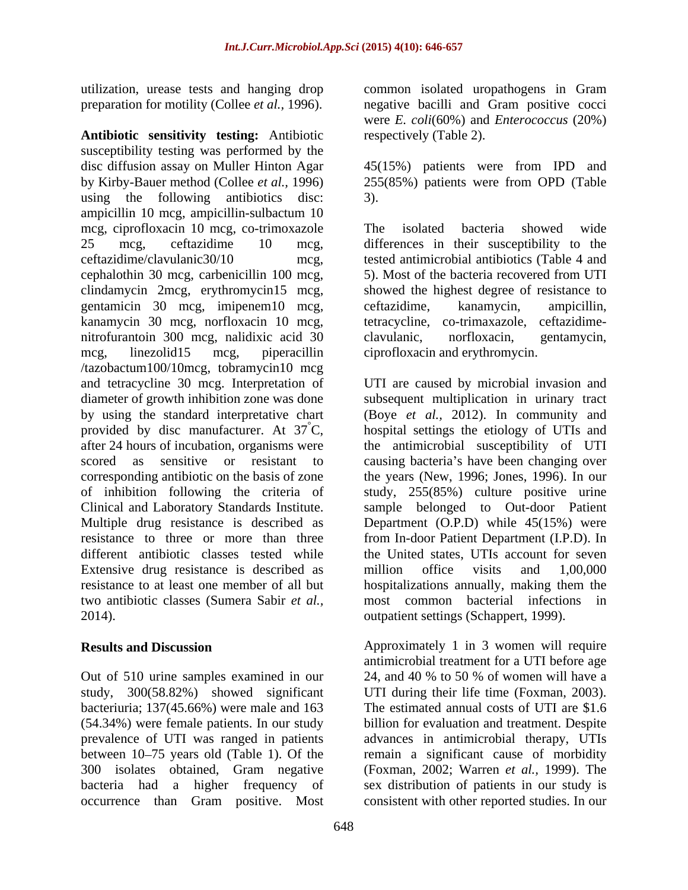preparation for motility (Collee *et al.,* 1996).

**Antibiotic sensitivity testing:** Antibiotic susceptibility testing was performed by the disc diffusion assay on Muller Hinton Agar 45(15%) patients were from IPD and by Kirby-Bauer method (Collee *et al.,* 1996) 255(85%) patients were from OPD (Table using the following antibiotics disc: 3). ampicillin 10 mcg, ampicillin-sulbactum 10 mcg, ciprofloxacin 10 mcg, co-trimoxazole 25 mcg, ceftazidime 10 mcg, differences in their susceptibility to the ceftazidime/clavulanic30/10 mcg, tested antimicrobial antibiotics (Table 4 and cephalothin 30 mcg, carbenicillin 100 mcg, clindamycin 2mcg, erythromycin15 mcg, gentamicin 30 mcg, imipenem10 mcg, kanamycin 30 mcg, norfloxacin 10 mcg, tetracycline, co-trimaxazole, ceftazidime nitrofurantoin 300 mcg, nalidixic acid 30 clavulanic, norfloxacin, gentamycin, mcg, linezolid15 mcg, piperacillin ciprofloxacin and erythromycin. /tazobactum100/10mcg, tobramycin10 mcg and tetracycline 30 mcg. Interpretation of UTI are caused by microbial invasion and diameter of growth inhibition zone was done subsequent multiplication in urinary tract by using the standard interpretative chart (Boye *et al.,* 2012). In community and provided by disc manufacturer. At  $37^{\circ}$ C, hospital settings the etiology of UTIs and after 24 hours of incubation, organisms were the antimicrobial susceptibility of UTI scored as sensitive or resistant to causing bacteria's have been changing over corresponding antibiotic on the basis of zone of inhibition following the criteria of study, 255(85%) culture positive urine Clinical and Laboratory Standards Institute. sample belonged to Out-door Patient Multiple drug resistance is described as Department (O.P.D) while 45(15%) were resistance to three or more than three from In-door Patient Department (I.P.D). In different antibiotic classes tested while the United states, UTIs account for seven Extensive drug resistance is described as million office visits and 1,00,000 resistance to at least one member of all but hospitalizations annually, making them the two antibiotic classes (Sumera Sabir *et al.,* most common bacterial infections in

Out of 510 urine samples examined in our bacteriuria; 137(45.66%) were male and 163 (54.34%) were female patients. In our study occurrence than Gram positive. Most

utilization, urease tests and hanging drop common isolated uropathogens in Gram negative bacilli and Gram positive cocci were *E. coli*(60%) and *Enterococcus* (20%) respectively (Table 2).

3).

The isolated bacteria showed wide 5). Most of the bacteria recovered from UTI showed the highest degree of resistance to ceftazidime, kanamycin, ampicillin, clavulanic, norfloxacin, gentamycin,

2014). outpatient settings (Schappert, 1999). the years (New, 1996; Jones, 1996). In our million office visits and 1,00,000

**Results and Discussion Approximately 1 in 3 women will require** study, 300(58.82%) showed significant UTI during their life time (Foxman, 2003). prevalence of UTI was ranged in patients advances in antimicrobial therapy, UTIs between 10–75 years old (Table 1). Of the remain a significant cause of morbidity 300 isolates obtained, Gram negative (Foxman, 2002; Warren *et al.,* 1999).The bacteria had a higher frequency of sex distribution of patients in our study is antimicrobial treatment for a UTI before age 24, and 40 % to 50 % of women will havea The estimated annual costs of UTI are \$1.6 billion for evaluation and treatment. Despite consistent with other reported studies. In our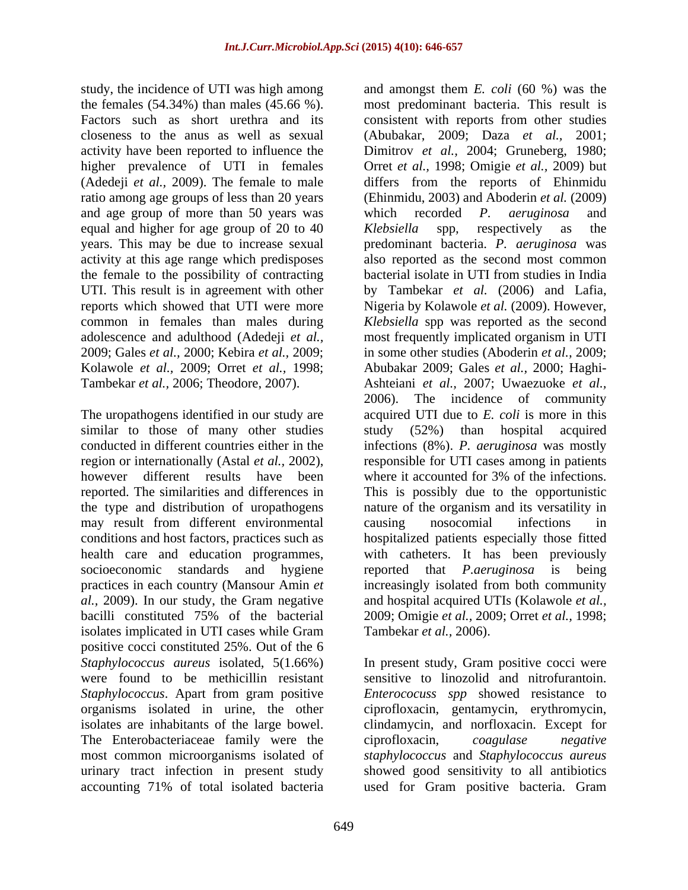study, the incidence of UTI was high among and amongst them *E. coli* (60 %) was the activity have been reported to influence the ratio among age groups of less than 20 years and age group of more than 50 years was which recorded P. *aeruginosa* and equal and higher for age group of 20 to 40 Klebsiella spp, respectively as the 2009; Gales *et al.,* 2000; Kebira *et al.,* 2009;

similar to those of many other studies study (52%) than hospital acquired however different results have been where it accounted for 3% of the infections. may result from different environmental positive cocci constituted 25%. Out of the 6 were found to be methicillin resistant *Staphylococcus*. Apart from gram positive organisms isolated in urine, the other The Enterobacteriaceae family were the ciprofloxacin, coagulase negative

the females (54.34%) than males (45.66 %). most predominant bacteria. This result is Factors such as short urethra and its consistent with reports from other studies closeness to the anus as well as sexual (Abubakar, 2009; Daza *et al.,* 2001; higher prevalence of UTI in females Orret *et al.,* 1998; Omigie *et al.,* 2009) but (Adedeji *et al.,* 2009). The female to male differs from the reports of Ehinmidu years. This may be due to increase sexual predominant bacteria. *P. aeruginosa* was activity at this age range which predisposes also reported as the second most common the female to the possibility of contracting bacterial isolate in UTI from studies in India UTI. This result is in agreement with other by Tambekar *et al.* (2006) and Lafia, reports which showed that UTI were more Nigeria by Kolawole *et al.* (2009). However, common in females than males during *Klebsiella* spp was reported as the second adolescence and adulthood (Adedeji *et al.,* most frequently implicated organism in UTI Kolawole *et al.,* 2009; Orret *et al.,* 1998; Abubakar 2009; Gales *et al.,* 2000; Haghi- Tambekar *et al.,* 2006; Theodore, 2007). Ashteiani *et al.,* 2007; Uwaezuoke *et al.,* The uropathogens identified in our study are acquired UTI due to *E. coli* is more in this conducted in different countries either in the infections (8%). *P. aeruginosa* was mostly region or internationally (Astal *et al.,* 2002), responsible for UTI cases among in patients reported. The similarities and differences in This is possibly due to the opportunistic the type and distribution of uropathogens nature of the organism and its versatility in conditions and host factors, practices such as hospitalized patients especially those fitted health care and education programmes, with catheters. It has been previously socioeconomic standards and hygiene reported that *P. aeruginosa* is being practices in each country (Mansour Amin *et*  increasingly isolated from both community *al.,* 2009). In our study, the Gram negative and hospital acquired UTIs (Kolawole *et al.,* bacilli constituted 75% of the bacterial 2009; Omigie *et al.,* 2009; Orret *et al.,* 1998; isolates implicated in UTI cases while Gram Tambekar et al., 2006). Dimitrov *et al.,* 2004; Gruneberg, 1980; (Ehinmidu, 2003) and Aboderin *et al.* (2009) which recorded *P. aeruginosa* and *Klebsiella* spp*,* respectively as the in some other studies (Aboderin *et al.,* 2009; 2006). The incidence of community study (52%) than hospital acquired where it accounted for 3% of the infections. causing nosocomial infections in reported that *P.aeruginosa* is being Tambekar *et al.,* 2006).

*Staphylococcus aureus* isolated, 5(1.66%) In present study, Gram positive cocci were isolates are inhabitants of the large bowel. clindamycin, and norfloxacin. Except for most common microorganisms isolated of *staphylococcus* and *Staphylococcus aureus* urinary tract infection in present study showed good sensitivity to all antibiotics accounting 71% of total isolated bacteria used for Gram positive bacteria. Gram sensitive to linozolid and nitrofurantoin. *Enterococuss spp* showed resistance to ciprofloxacin, gentamycin, erythromycin, ciprofloxacin, *coagulase negative*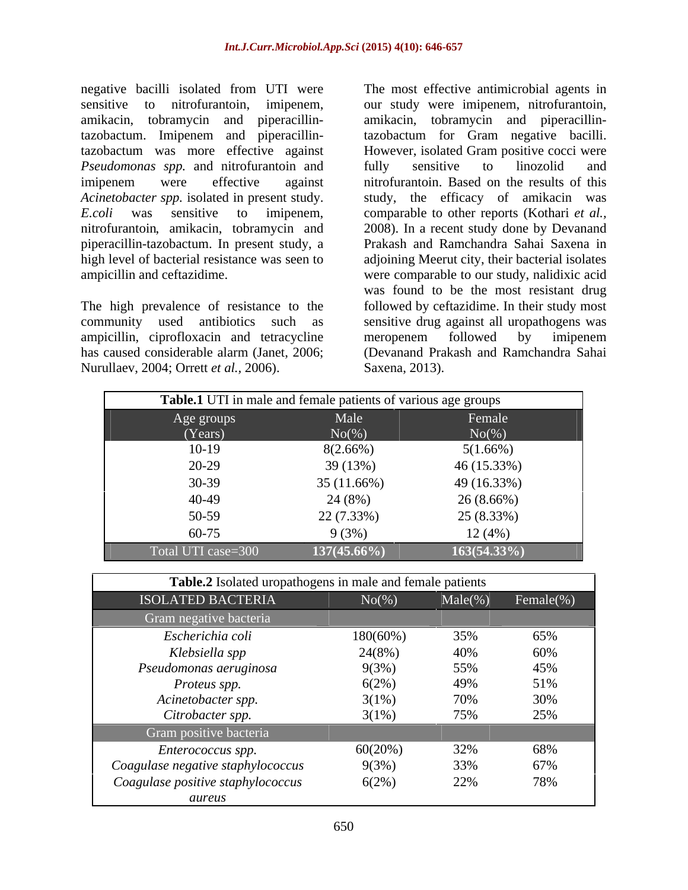negative bacilli isolated from UTI were The most effective antimicrobial agents in *Pseudomonas spp.* and nitrofurantoin and

ampicillin, ciprofloxacin and tetracycline meropenem followed by imipenem Nurullaev, 2004; Orrett *et al.,* 2006).

sensitive to nitrofurantoin, imipenem, ourstudy were imipenem, nitrofurantoin, amikacin, tobramycin and piperacillin-amikacin, tobramycin and piperacillintazobactum. Imipenem and piperacillin-tazobactum for Gram negative bacilli. tazobactum was more effective against However, isolated Gram positive cocci were imipenem were effective against nitrofurantoin. Based on the results of this *Acinetobacter spp.* isolated in present study. study, the efficacy of amikacin was *E.coli* was sensitive to imipenem, comparable to other reports (Kothari *et al.*, nitrofurantoin, amikacin, tobramycin and 2008). In a recent study done by Devanand piperacillin-tazobactum. In present study, a Prakash and Ramchandra Sahai Saxena in high level of bacterial resistance was seen to adjoining Meerut city, their bacterial isolates ampicillin and ceftazidime. were comparable to our study, nalidixic acid The high prevalence of resistance to the followed by ceftazidime. In their study most community used antibiotics such as sensitive drug against all uropathogens was has caused considerable alarm (Janet, 2006; (Devanand Prakash and Ramchandra Sahai fully sensitive to linozolid and comparable to other reports (Kothari *et al.,* 2008). In a recent study done by Devanand was found to be the most resistant drug meropenem followed by imipenem Saxena, 2013).

|                    | Table.1 UTI in male and female patients of various age groups |                |
|--------------------|---------------------------------------------------------------|----------------|
| Age groups         | Male                                                          | Female         |
| (Years)            | $No(\%)$                                                      | $No(\%)$       |
| $10-19$            | 8(2.66%)                                                      | 5(1.66%)       |
| 20-29              | 39 (13%)                                                      | 46 (15.33%)    |
| $30-39$            | 35(11.66%)                                                    | 49 (16.33%)    |
| 40-49              | 24 (8%)                                                       | $26(8.66\%)$   |
| 50-59              | 22 (7.33%)                                                    | 25 (8.33%)     |
| 60-75              | 9(3%)                                                         | 12(4%)         |
| Total UTI case=300 | $137(45.66\%)$                                                | $163(54.33\%)$ |

| Table.2 Isolated uropathogens in male and female patients |             |            |               |
|-----------------------------------------------------------|-------------|------------|---------------|
| ISOLATED BACTERIA                                         | $No(\%)$    | $Male(\%)$ | $Female(\% )$ |
| Gram negative bacteria                                    |             |            |               |
| Escherichia coli                                          | $180(60\%)$ | 35%        | 65%           |
| Klebsiella spp                                            | 24(8%)      | 40%        | 60%           |
| Pseudomonas aeruginosa                                    | 9(3%)       | 55%        | 45%           |
| Proteus spp.                                              | 6(2%)       | 49%        | 51%           |
| Acinetobacter spp.                                        | 3(1%)       | 70%        | 30%           |
| Citrobacter spp.                                          | $3(1\%)$    | 75%        | 25%           |
| Gram positive bacteria                                    |             |            |               |
| Enterococcus spp.                                         | 60(20%)     | 32%        | 68%           |
| Coagulase negative staphylococcus                         | 9(3%)       | 33%        | 67%           |
| Coagulase positive staphylococcus                         | 6(2%)       | 22%        | 78%           |
| aureus                                                    |             |            |               |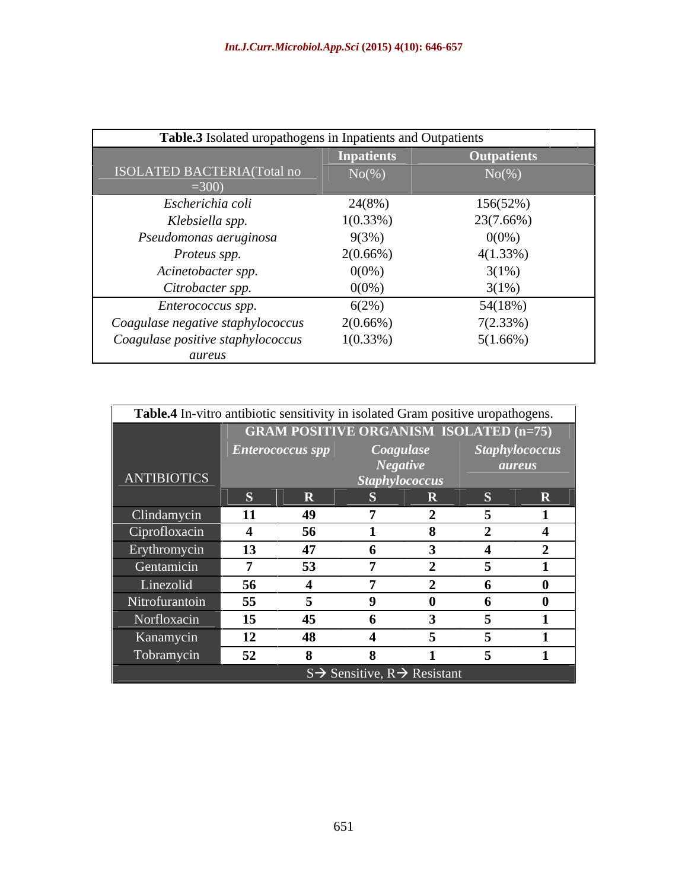| Table.3 Isolated uropathogens in Inpatients and Outpatients |                   |                    |
|-------------------------------------------------------------|-------------------|--------------------|
|                                                             | <b>Inpatients</b> | <b>Outpatients</b> |
| ISOLATED BACTERIA(Total no<br>$=300$ )                      | $No(\%)$          | $No(\%)$           |
| Escherichia coli                                            | 24(8%)            | 156(52%)           |
| Klebsiella spp.                                             | $1(0.33\%)$       | 23(7.66%)          |
| Pseudomonas aeruginosa                                      | 9(3%)             | $0(0\%)$           |
| Proteus spp.                                                | $2(0.66\%)$       | $4(1.33\%)$        |
| Acinetobacter spp.                                          | $0(0\%)$          | 3(1%)              |
| Citrobacter spp.                                            | $0(0\%)$          | 3(1%)              |
| Enterococcus spp.                                           | 6(2%)             | 54(18%)            |
| Coagulase negative staphylococcus                           | $2(0.66\%)$       | 7(2.33%)           |
| Coagulase positive staphylococcus                           | $1(0.33\%)$       | 5(1.66%)           |
| aureus                                                      |                   |                    |

| Table.4 In-vitro antibiotic sensitivity in isolated Gram positive uropathogens. |           |                                               |                                                      |                              |                                 |
|---------------------------------------------------------------------------------|-----------|-----------------------------------------------|------------------------------------------------------|------------------------------|---------------------------------|
|                                                                                 |           | <b>GRAM POSITIVE ORGANISM ISOLATED (n=75)</b> |                                                      |                              |                                 |
|                                                                                 |           | Enterococcus spp                              |                                                      | Coagulase<br><b>Negative</b> | Staphylococcus<br><i>aureus</i> |
| ANTIBIOTICS                                                                     |           |                                               |                                                      | <b>Staphylococcus</b>        |                                 |
|                                                                                 |           |                                               |                                                      |                              | D.                              |
| Clindamycin                                                                     | <b>11</b> |                                               |                                                      |                              |                                 |
| Ciprofloxacin                                                                   |           | 56                                            |                                                      |                              |                                 |
| Erythromycin                                                                    | 13        |                                               |                                                      |                              |                                 |
| Gentamicin                                                                      |           | 53.                                           |                                                      |                              |                                 |
| Linezolid                                                                       | 56        |                                               |                                                      |                              |                                 |
| Nitrofurantoin                                                                  | 55        |                                               |                                                      |                              |                                 |
| Norfloxacin                                                                     | 15        |                                               |                                                      |                              |                                 |
| Kanamycin                                                                       | 12        |                                               |                                                      |                              |                                 |
| Tobramycin                                                                      | 52        |                                               |                                                      |                              |                                 |
|                                                                                 |           |                                               | $S \rightarrow$ Sensitive, R $\rightarrow$ Resistant |                              |                                 |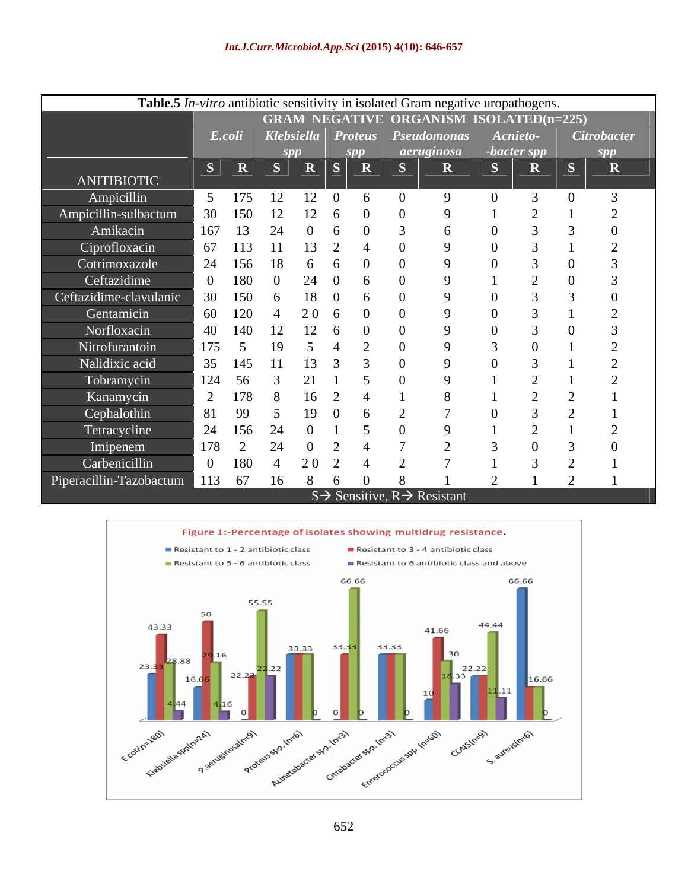| Table.5 <i>In-vitro</i> antibiotic sensitivity in isolated Gram negative uropathogens.<br>E.coli<br>$S \parallel R \parallel S \parallel R \parallel S \parallel R \parallel S$<br>ANITIBIOTIC<br>Ampicillin<br>5 175<br>12<br>12<br>30<br>- 150<br>Amikacin<br>167<br>Ciprofloxacin<br>67 113<br>Cotrimoxazole<br>24 156<br>$1\times$<br>Ceftazidime<br>30<br>150<br>Gentamicin<br>60<br>-120<br>Norfloxacin<br>40<br>$-140$<br>Nitrofurantoin<br>175<br>Nalidixic acid<br>35<br>145<br>Tobramycin<br>124<br>-56<br>Kanamycin<br>- 178 | <b>GRAM NEGATIVE ORGANISM ISOLATED(n=225)</b><br><b>Citrobacter</b><br>Klebsiella Proteus Pseudomonas Acnieto-<br>aeruginosa<br>-bacter spp<br>$\mathbf{R}$<br>$\mathbf{S}$<br>$\overline{\mathbf{R}}$<br>$\mathbf{R}$ |
|-----------------------------------------------------------------------------------------------------------------------------------------------------------------------------------------------------------------------------------------------------------------------------------------------------------------------------------------------------------------------------------------------------------------------------------------------------------------------------------------------------------------------------------------|------------------------------------------------------------------------------------------------------------------------------------------------------------------------------------------------------------------------|
| Ampicillin-sulbactum                                                                                                                                                                                                                                                                                                                                                                                                                                                                                                                    |                                                                                                                                                                                                                        |
|                                                                                                                                                                                                                                                                                                                                                                                                                                                                                                                                         |                                                                                                                                                                                                                        |
| Ceftazidime-clavulanic                                                                                                                                                                                                                                                                                                                                                                                                                                                                                                                  |                                                                                                                                                                                                                        |
|                                                                                                                                                                                                                                                                                                                                                                                                                                                                                                                                         |                                                                                                                                                                                                                        |
|                                                                                                                                                                                                                                                                                                                                                                                                                                                                                                                                         |                                                                                                                                                                                                                        |
|                                                                                                                                                                                                                                                                                                                                                                                                                                                                                                                                         |                                                                                                                                                                                                                        |
|                                                                                                                                                                                                                                                                                                                                                                                                                                                                                                                                         |                                                                                                                                                                                                                        |
|                                                                                                                                                                                                                                                                                                                                                                                                                                                                                                                                         |                                                                                                                                                                                                                        |
|                                                                                                                                                                                                                                                                                                                                                                                                                                                                                                                                         |                                                                                                                                                                                                                        |
|                                                                                                                                                                                                                                                                                                                                                                                                                                                                                                                                         |                                                                                                                                                                                                                        |
|                                                                                                                                                                                                                                                                                                                                                                                                                                                                                                                                         |                                                                                                                                                                                                                        |
|                                                                                                                                                                                                                                                                                                                                                                                                                                                                                                                                         |                                                                                                                                                                                                                        |
|                                                                                                                                                                                                                                                                                                                                                                                                                                                                                                                                         |                                                                                                                                                                                                                        |
|                                                                                                                                                                                                                                                                                                                                                                                                                                                                                                                                         |                                                                                                                                                                                                                        |
|                                                                                                                                                                                                                                                                                                                                                                                                                                                                                                                                         |                                                                                                                                                                                                                        |
|                                                                                                                                                                                                                                                                                                                                                                                                                                                                                                                                         |                                                                                                                                                                                                                        |
|                                                                                                                                                                                                                                                                                                                                                                                                                                                                                                                                         |                                                                                                                                                                                                                        |
|                                                                                                                                                                                                                                                                                                                                                                                                                                                                                                                                         |                                                                                                                                                                                                                        |
| Cephalothin<br>81<br>- QQ                                                                                                                                                                                                                                                                                                                                                                                                                                                                                                               |                                                                                                                                                                                                                        |
| Tetracycline<br>24<br>- 156                                                                                                                                                                                                                                                                                                                                                                                                                                                                                                             |                                                                                                                                                                                                                        |
| Imipenem<br>178                                                                                                                                                                                                                                                                                                                                                                                                                                                                                                                         |                                                                                                                                                                                                                        |
| Carbenicillin<br>$\Omega$<br>- 180                                                                                                                                                                                                                                                                                                                                                                                                                                                                                                      |                                                                                                                                                                                                                        |
| Piperacillin-Tazobactum 113 67 16<br>8 <sup>8</sup>                                                                                                                                                                                                                                                                                                                                                                                                                                                                                     |                                                                                                                                                                                                                        |



 $S \rightarrow$  Sensitive,  $R \rightarrow$  Resistant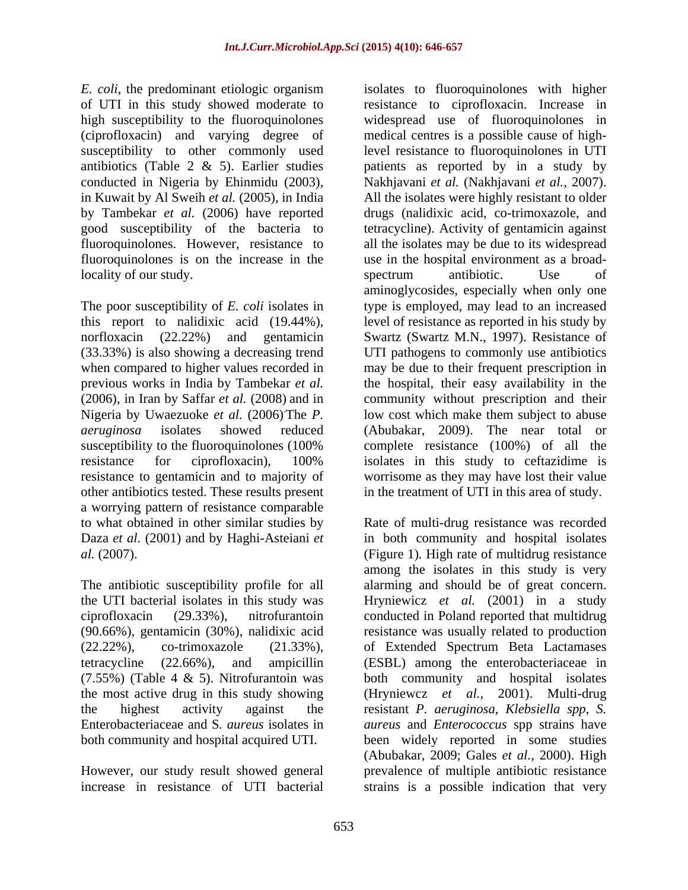*E. coli*, the predominant etiologic organism isolates to fluoroquinolones with higher locality of our study. Spectrum antibiotic. Use of

other antibiotics tested. These results present in the treatment of UTI in this area of study. a worrying pattern of resistance comparable

increase in resistance of UTI bacterial strains is a possible indication that very

of UTI in this study showed moderate to resistance to ciprofloxacin. Increase in high susceptibility to the fluoroquinolones widespread use of fluoroquinolones in (ciprofloxacin) and varying degree of medical centres is a possible cause of highsusceptibility to other commonly used level resistance to fluoroquinolones in UTI antibiotics (Table 2 & 5). Earlier studies patients as reported by in a study by conducted in Nigeria by Ehinmidu (2003), Nakhjavani *et al.* (Nakhjavani *et al.,* 2007). in Kuwait by Al Sweih *et al.* (2005), in India All the isolates were highly resistant to older by Tambekar *et al.* (2006) have reported drugs (nalidixic acid, co-trimoxazole, and good susceptibility of the bacteria to tetracycline). Activity of gentamicin against fluoroquinolones. However, resistance to all the isolates may be due to its widespread fluoroquinolones is on the increase in the use in the hospital environment as a broad- The poor susceptibility of *E. coli* isolates in type is employed, may lead to an increased this report to nalidixic acid (19.44%), level of resistance as reported in his study by norfloxacin (22.22%) and gentamicin Swartz (Swartz M.N., 1997). Resistance of (33.33%) is also showing a decreasing trend UTI pathogens to commonly use antibiotics when compared to higher values recorded in may be due to their frequent prescription in previous works in India by Tambekar *et al*. the hospital, their easy availability in the (2006), in Iran by Saffar *et al.* (2008) and in community without prescription and their Nigeria by Uwaezuoke *et al.* (2006) The *P*. low cost which make them subject to abuse *aeruginosa* isolates showed reduced (Abubakar, 2009). The near total or susceptibility to the fluoroquinolones (100% complete resistance (100%) of all the resistance for ciprofloxacin), 100% isolates in this study to ceftazidime is resistance to gentamicin and to majority of worrisome as they may have lost their value spectrum antibiotic. Use of aminoglycosides, especially when only one complete resistance (100%) of all the

to what obtained in other similar studies by Rate of multi-drug resistance was recorded Daza *et al.* (2001) and by Haghi-Asteiani *et*  in both community and hospital isolates *al.* (2007). (Figure 1)*.* High rate of multidrug resistance The antibiotic susceptibility profile for all alarming and should be of great concern. the UTI bacterial isolates in this study was Hryniewicz *et al.* (2001) in a study ciprofloxacin (29.33%), nitrofurantoin conducted in Poland reported that multidrug (90.66%), gentamicin (30%), nalidixic acid resistance was usually related to production (22.22%), co-trimoxazole (21.33%), of Extended Spectrum Beta Lactamases tetracycline (22.66%), and ampicillin (ESBL) among the enterobacteriaceae in (7.55%) (Table 4 & 5). Nitrofurantoin was both community and hospital isolates the most active drug in this study showing (Hryniewcz *et al.,* 2001). Multi-drug the highest activity against the resistant *P. aeruginosa*, *Klebsiella spp*, *S.* Enterobacteriaceae and S*. aureus* isolatesin *aureus* and *Enterococcus* spp strains have both community and hospital acquired UTI. been widely reported in some studies However, our study result showed general prevalence of multiple antibiotic resistance among the isolates in this study is very (Abubakar, 2009; Gales *et al.,* 2000). High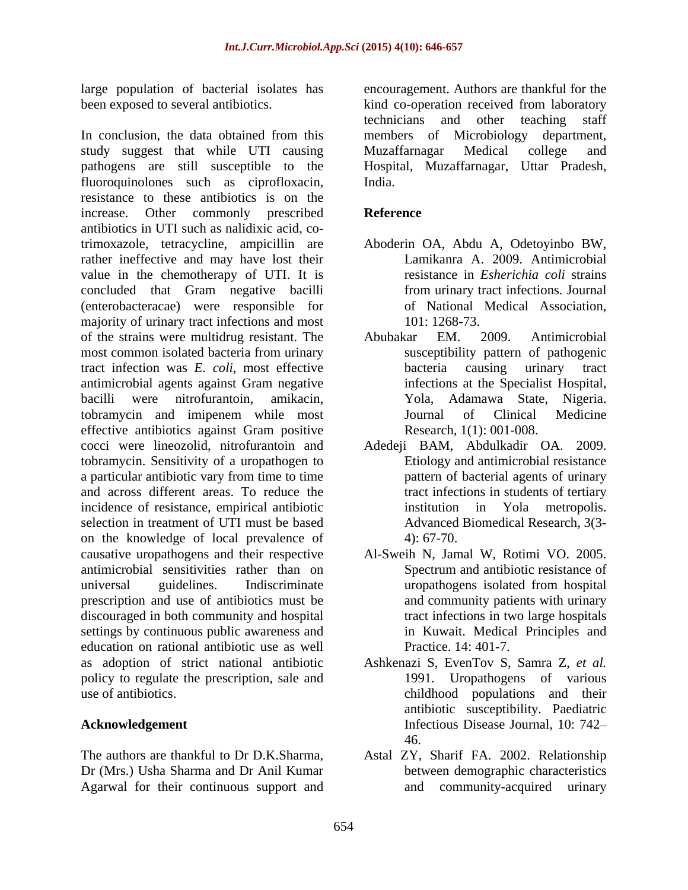In conclusion, the data obtained from this members of Microbiology department, study suggest that while UTI causing pathogens are still susceptible to the Hospital, Muzaffarnagar, Uttar Pradesh, fluoroquinolones such as ciprofloxacin, India. resistance to these antibiotics is on the increase. Other commonly prescribed Reference antibiotics in UTI such as nalidixic acid, cotrimoxazole, tetracycline, ampicillin are Aboderin OA, Abdu A, Odetoyinbo BW, rather ineffective and may have lost their value in the chemotherapy of UTI. It is concluded that Gram negative bacilli (enterobacteracae) were responsible for majority of urinary tract infections and most 101: 1268-73. of the strains were multidrug resistant. The most common isolated bacteria from urinary tract infection was *E. coli*, most effective antimicrobial agents against Gram negative bacilli were nitrofurantoin, amikacin, Yola, Adamawa State, Nigeria. tobramycin and imipenem while most effective antibiotics against Gram positive cocci were lineozolid, nitrofurantoin and Adedeji BAM, Abdulkadir OA. 2009. tobramycin. Sensitivity of a uropathogen to a particular antibiotic vary from time to time and across different areas. To reduce the incidence of resistance, empirical antibiotic institution in Yola metropolis. selection in treatment of UTI must be based on the knowledge of local prevalence of  $4$ : 67-70. causative uropathogens and their respective antimicrobial sensitivities rather than on universal guidelines. Indiscriminate uropathogens isolated from hospital prescription and use of antibiotics must be discouraged in both community and hospital settings by continuous public awareness and education on rational antibiotic use as well as adoption of strict national antibiotic Ashkenazi S, EvenTov S, Samra Z, *et al.* policy to regulate the prescription, sale and use of antibiotics. childhood populations and their

The authors are thankful to Dr D.K.Sharma, Astal ZY, Sharif FA*.* 2002. Relationship Dr (Mrs.) Usha Sharma and Dr Anil Kumar Agarwal for their continuous support and

large population of bacterial isolates has encouragement. Authors are thankful for the been exposed to several antibiotics. kind co-operation received from laboratory technicians and other teaching staff members of Microbiology Muzaffarnagar Medical college and India.

# **Reference**

- Lamikanra A. 2009. Antimicrobial resistance in *Esherichia coli* strains from urinary tract infections. Journal of National Medical Association, 101: 1268-73.
- Abubakar EM. 2009. Antimicrobial susceptibility pattern of pathogenic bacteria causing urinary tract infections at the Specialist Hospital, Journal of Clinical Medicine Research, 1(1): 001-008.
- Etiology and antimicrobial resistance pattern of bacterial agents of urinary tract infections in students of tertiary institution in Yola metropolis. Advanced Biomedical Research, 3(3- 4): 67-70.
- Al-Sweih N, Jamal W, Rotimi VO. 2005. Spectrum and antibiotic resistance of uropathogens isolated from hospital and community patients with urinary tract infections in two large hospitals in Kuwait. Medical Principles and Practice. 14: 401-7.
- **Acknowledgement** Infectious Disease Journal, 10: 742 1991. Uropathogens of various antibiotic susceptibility. Paediatric 46.
	- between demographic characteristics community-acquired urinary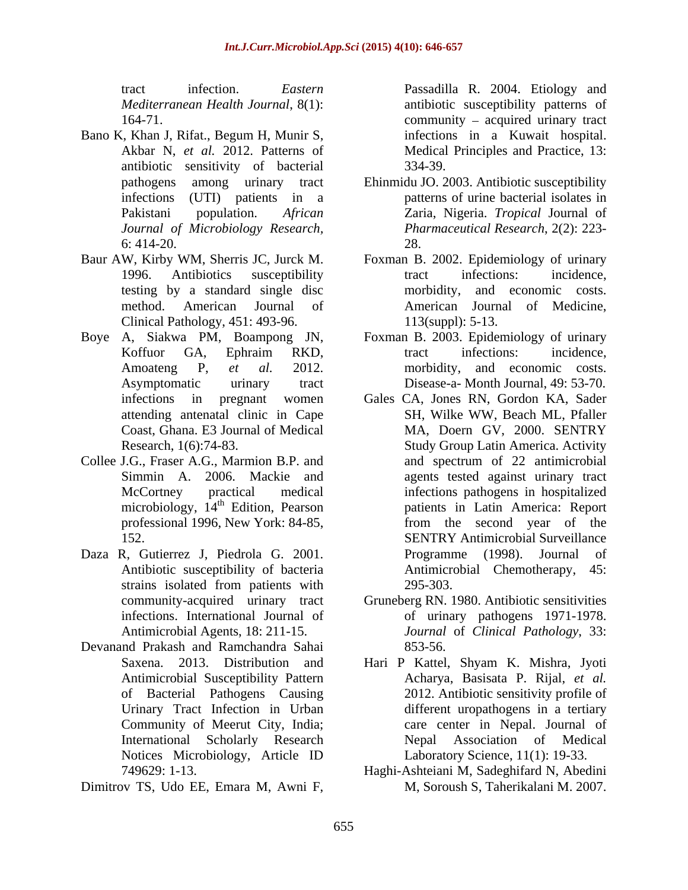- Bano K, Khan J, Rifat., Begum H, Munir S, Akbar N, *et al.* 2012. Patterns of antibiotic sensitivity of bacterial
- Clinical Pathology, 451: 493-96. 113(suppl): 5-13.
- Boye A, Siakwa PM, Boampong JN,
- Collee J.G., Fraser A.G., Marmion B.P. and meant and spectrum of 22 antimicrobial
- Daza R, Gutierrez J, Piedrola G. 2001. Programme (1998). Journal of
- Devanand Prakash and Ramchandra Sahai
- Dimitrov TS, Udo EE, Emara M, Awni F,

tract infection. *Eastern* Passadilla R. 2004. Etiology and *Mediterranean Health Journal*, 8(1): antibiotic susceptibility patterns of 164-71. Community – acquired urinary tract infections in a Kuwait hospital. Medical Principles and Practice, 13: 334-39.

- pathogens among urinary tract Ehinmidu JO. 2003. Antibiotic susceptibility infections (UTI) patients in a patterns of urine bacterial isolates in Pakistani population. *African* Zaria, Nigeria. *Tropical* Journal of *Journal of Microbiology Research, Pharmaceutical Research*, 2(2): 223-  $6:414-20.$  28. 28.
- Baur AW, Kirby WM, Sherris JC, Jurck M. Foxman B. 2002. Epidemiology of urinary 1996. Antibiotics susceptibility tract infections: incidence, testing by a standard single disc morbidity, and economic costs. method. American Journal of tract infections: incidence, American Journal of Medicine,<br>113(suppl): 5-13.
	- Koffuor GA, Ephraim RKD, tract infections: incidence, Amoateng P, *et al.* 2012. morbidity, and economic costs. Asymptomatic urinary tract Disease-a- Month Journal, 49: 53-70. Foxman B. 2003. Epidemiology of urinary tract infections: incidence,
	- infections in pregnant women Gales CA, Jones RN, Gordon KA, Sader attending antenatal clinic in Cape SH, Wilke WW, Beach ML, Pfaller Coast, Ghana. E3 Journal of Medical Research, 1(6):74-83. Study Group Latin America. Activity Simmin A. 2006. Mackie and agents tested against urinary tract McCortney practical medical infections pathogens in hospitalized microbiology, 14<sup>th</sup> Edition, Pearson patients in Latin America: Report professional 1996, New York: 84-85, 152. SENTRY Antimicrobial Surveillance Antibiotic susceptibility of bacteria Antimicrobial Chemotherapy, 45: strains isolated from patients with 295-303. MA, Doern GV, 2000. SENTRY and spectrum of 22 antimicrobial from the second year of the Programme (1998). Journal 295-303.
	- community-acquired urinary tract Gruneberg RN. 1980. Antibiotic sensitivities infections. International Journal of of urinary pathogens 1971-1978. Antimicrobial Agents, 18: 211-15. *Journal* of *Clinical Pathology*, 33: 853-56.
	- Saxena. 2013. Distribution and Hari P Kattel, Shyam K. Mishra, Jyoti Antimicrobial Susceptibility Pattern Acharya, Basisata P. Rijal, *et al.* of Bacterial Pathogens Causing 2012. Antibiotic sensitivity profile of Urinary Tract Infection in Urban different uropathogens in a tertiary Community of Meerut City, India; care center in Nepal. Journal of International Scholarly Research Nepal Association of Medical Notices Microbiology, Article ID Laboratory Science, 11(1): 19-33. Nepal Association of Medical Laboratory Science, 11(1): 19-33.
	- 749629: 1-13. Haghi-Ashteiani M, Sadeghifard N, Abedini M, Soroush S, Taherikalani M. 2007.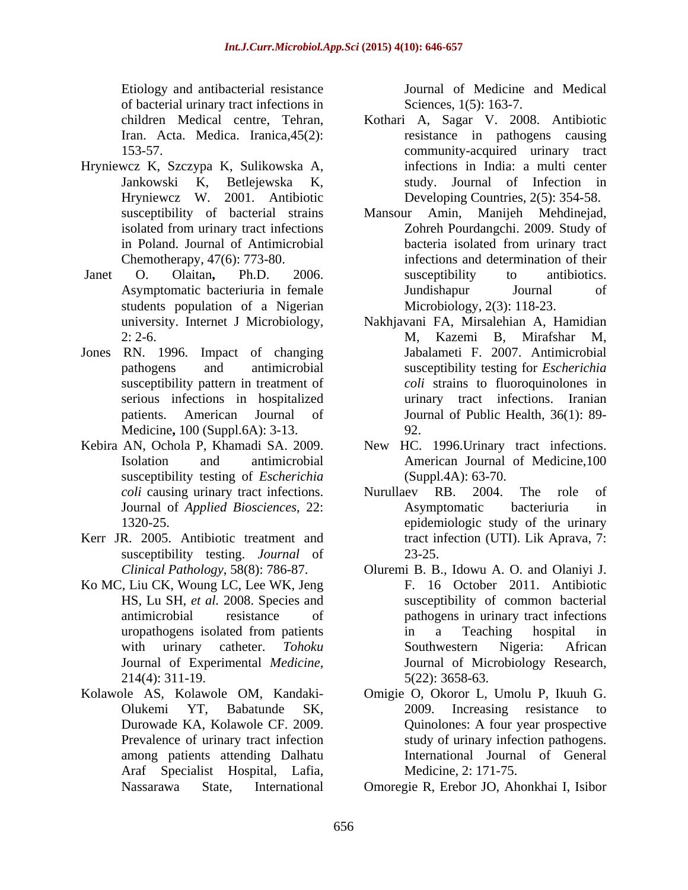Etiology and antibacterial resistance of bacterial urinary tract infections in

- Hryniewcz K, Szczypa K, Sulikowska A,
- students population of a Nigerian
- Jones RN. 1996. Impact of changing Medicine**,** 100 (Suppl.6A): 3-13.
- susceptibility testing of *Escherichia*
- Kerr JR. 2005. Antibiotic treatment and susceptibility testing. *Journal* of 23-25.
- Ko MC, Liu CK, Woung LC, Lee WK, Jeng
- Prevalence of urinary tract infection among patients attending Dalhatu Araf Specialist Hospital, Lafia,

Journal of Medicine and Medical Sciences, 1(5): 163-7.

- children Medical centre, Tehran, Kothari A, Sagar V. 2008. Antibiotic Iran. Acta. Medica. Iranica, 45(2): resistance in pathogens causing 153-57. community-acquired urinary tract Jankowski K, Betlejewska K, study. Journal of Infection in Hryniewcz W. 2001. Antibiotic Developing Countries, 2(5): 354-58. infections in India: a multi center
- susceptibility of bacterial strains Mansour Amin, Manijeh Mehdinejad, isolated from urinary tract infections <br>
Zohreh Pourdangchi. 2009. Study of in Poland. Journal of Antimicrobial Chemotherapy, 47(6): 773-80. infections and determination of their Janet O. Olaitan**,** Ph.D. 2006. Asymptomatic bacteriuria in female Mansour Amin, Manijeh Mehdinejad, Zohreh Pourdangchi. 2009. Study of bacteria isolated from urinary tract susceptibility to antibiotics. Jundishapur Journal of Microbiology, 2(3): 118-23.
	- university. Internet J Microbiology, Nakhjavani FA, Mirsalehian A, Hamidian 2: 2-6. pathogens and antimicrobial susceptibility testing for *Escherichia*  susceptibility pattern in treatment of *coli* strains to fluoroquinolones in serious infections in hospitalized urinary tract infections. Iranian patients. American Journal of Journal of Public Health, 36(1): 89- M, Kazemi B, Mirafshar M, Jabalameti F. 2007. Antimicrobial 92.
- Kebira AN, Ochola P, Khamadi SA. 2009. New HC. 1996.Urinary tract infections. Isolation and antimicrobial American Journal of Medicine,100 (Suppl.4A): 63-70.
	- *coli* causing urinary tract infections. Nurullaev RB. 2004. The role of Journal of *Applied Biosciences*, 22: 1320-25. epidemiologic study of the urinary Nurullaev RB. 2004. The role of Asymptomatic bacteriuria in tract infection (UTI). Lik Aprava, 7: 23-25.
	- *Clinical Pathology*, 58(8): 786-87. Oluremi B. B., Idowu A. O. and Olaniyi J. HS, Lu SH, *et al.* 2008. Species and susceptibility of common bacterial antimicrobial resistance of pathogens in urinary tract infections uropathogens isolated from patients with urinary catheter. *Tohoku* Journal of Experimental *Medicine*, Journal of Microbiology Research,<br>214(4): 311-19. 5(22): 3658-63. F. 16 October 2011. Antibiotic in a Teaching hospital in Southwestern Nigeria: African 5(22): 3658-63.
- Kolawole AS, Kolawole OM, Kandaki- Omigie O, Okoror L, Umolu P, Ikuuh G. Olukemi YT, Babatunde SK, Durowade KA, Kolawole CF. 2009. Quinolones: A four year prospective 2009. Increasing resistance to study of urinary infection pathogens. International Journal of General Medicine, 2: 171-75.
	- Nassarawa State, International Omoregie R, Erebor JO, Ahonkhai I, Isibor